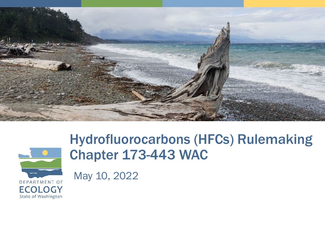



#### Hydrofluorocarbons (HFCs) Rulemaking Chapter 173-443 WAC

May 10, 2022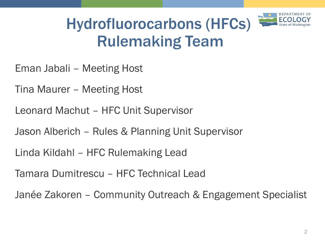

#### Hydrofluorocarbons (HFCs) Rulemaking Team

- Eman Jabali Meeting Host
- Tina Maurer Meeting Host
- Leonard Machut HFC Unit Supervisor
- Jason Alberich Rules & Planning Unit Supervisor
- Linda Kildahl HFC Rulemaking Lead
- Tamara Dumitrescu HFC Technical Lead
- Janée Zakoren Community Outreach & Engagement Specialist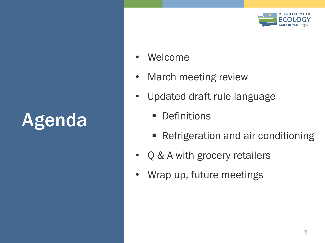# Agenda



- Welcome
- March meeting review
- Updated draft rule language
	- **Definitions**
	- Refrigeration and air conditioning
- Q & A with grocery retailers
- Wrap up, future meetings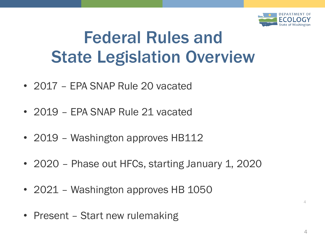

### Federal Rules and State Legislation Overview

- 2017 EPA SNAP Rule 20 vacated
- 2019 EPA SNAP Rule 21 vacated
- 2019 Washington approves HB112
- 2020 Phase out HFCs, starting January 1, 2020
- 2021 Washington approves HB 1050
- Present Start new rulemaking

 $\Delta$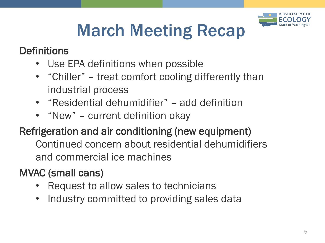

# March Meeting Recap

#### **Definitions**

- Use EPA definitions when possible
- "Chiller" treat comfort cooling differently than industrial process
- "Residential dehumidifier" add definition
- "New" current definition okay

#### Refrigeration and air conditioning (new equipment)

Continued concern about residential dehumidifiers and commercial ice machines

#### MVAC (small cans)

- Request to allow sales to technicians
- Industry committed to providing sales data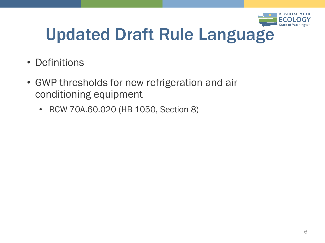

### Updated Draft Rule Language

- Definitions
- GWP thresholds for new refrigeration and air conditioning equipment
	- RCW 70A.60.020 (HB 1050, Section 8)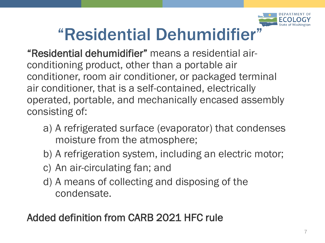

### "Residential Dehumidifier"

"Residential dehumidifier" means a residential airconditioning product, other than a portable air conditioner, room air conditioner, or packaged terminal air conditioner, that is a self-contained, electrically operated, portable, and mechanically encased assembly consisting of:

- a) A refrigerated surface (evaporator) that condenses moisture from the atmosphere;
- b) A refrigeration system, including an electric motor;
- c) An air-circulating fan; and
- d) A means of collecting and disposing of the condensate.

#### Added definition from CARB 2021 HFC rule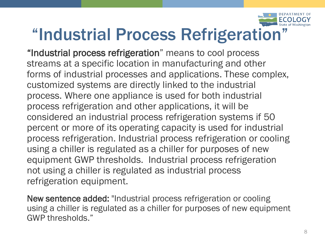

#### "Industrial Process Refrigeration"

"Industrial process refrigeration" means to cool process streams at a specific location in manufacturing and other forms of industrial processes and applications. These complex, customized systems are directly linked to the industrial process. Where one appliance is used for both industrial process refrigeration and other applications, it will be considered an industrial process refrigeration systems if 50 percent or more of its operating capacity is used for industrial process refrigeration. Industrial process refrigeration or cooling using a chiller is regulated as a chiller for purposes of new equipment GWP thresholds. Industrial process refrigeration not using a chiller is regulated as industrial process refrigeration equipment.

New sentence added: "Industrial process refrigeration or cooling using a chiller is regulated as a chiller for purposes of new equipment GWP thresholds."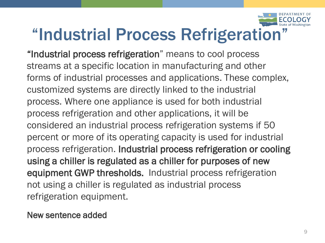

### "Industrial Process Refrigeration"

"Industrial process refrigeration" means to cool process streams at a specific location in manufacturing and other forms of industrial processes and applications. These complex, customized systems are directly linked to the industrial process. Where one appliance is used for both industrial process refrigeration and other applications, it will be considered an industrial process refrigeration systems if 50 percent or more of its operating capacity is used for industrial process refrigeration. Industrial process refrigeration or cooling using a chiller is regulated as a chiller for purposes of new equipment GWP thresholds. Industrial process refrigeration not using a chiller is regulated as industrial process refrigeration equipment.

New sentence added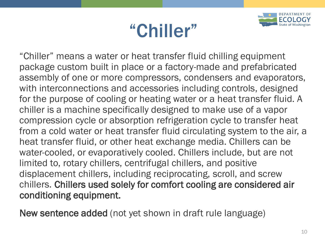# "Chiller"



"Chiller" means a water or heat transfer fluid chilling equipment package custom built in place or a factory-made and prefabricated assembly of one or more compressors, condensers and evaporators, with interconnections and accessories including controls, designed for the purpose of cooling or heating water or a heat transfer fluid. A chiller is a machine specifically designed to make use of a vapor compression cycle or absorption refrigeration cycle to transfer heat from a cold water or heat transfer fluid circulating system to the air, a heat transfer fluid, or other heat exchange media. Chillers can be water-cooled, or evaporatively cooled. Chillers include, but are not limited to, rotary chillers, centrifugal chillers, and positive displacement chillers, including reciprocating, scroll, and screw chillers. Chillers used solely for comfort cooling are considered air conditioning equipment.

New sentence added (not yet shown in draft rule language)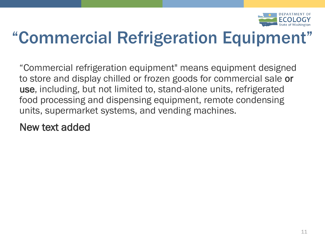

### "Commercial Refrigeration Equipment"

"Commercial refrigeration equipment" means equipment designed to store and display chilled or frozen goods for commercial sale or use, including, but not limited to, stand-alone units, refrigerated food processing and dispensing equipment, remote condensing units, supermarket systems, and vending machines.

New text added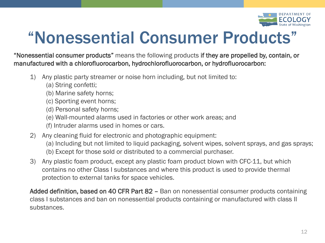

### "Nonessential Consumer Products"

"Nonessential consumer products" means the following products if they are propelled by, contain, or manufactured with a chlorofluorocarbon, hydrochlorofluorocarbon, or hydrofluorocarbon:

- 1) Any plastic party streamer or noise horn including, but not limited to:
	- (a) String confetti;
	- (b) Marine safety horns;
	- (c) Sporting event horns;
	- (d) Personal safety horns;
	- (e) Wall-mounted alarms used in factories or other work areas; and
	- (f) Intruder alarms used in homes or cars.
- 2) Any cleaning fluid for electronic and photographic equipment:
	- (a) Including but not limited to liquid packaging, solvent wipes, solvent sprays, and gas sprays;
	- (b) Except for those sold or distributed to a commercial purchaser.
- 3) Any plastic foam product, except any plastic foam product blown with CFC-11, but which contains no other Class I substances and where this product is used to provide thermal protection to external tanks for space vehicles.

Added definition, based on 40 CFR Part 82 – Ban on nonessential consumer products containing class I substances and ban on nonessential products containing or manufactured with class II substances.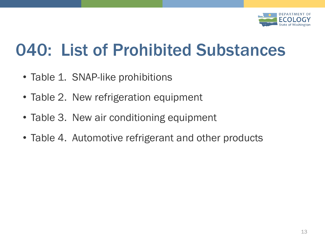

### 040: List of Prohibited Substances

- Table 1. SNAP-like prohibitions
- Table 2. New refrigeration equipment
- Table 3. New air conditioning equipment
- Table 4. Automotive refrigerant and other products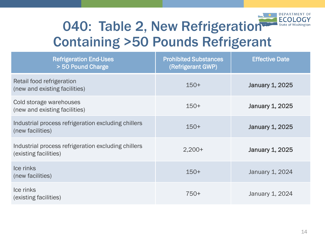

#### 040: Table 2, New Refrigeration Containing >50 Pounds Refrigerant

| <b>Refrigeration End-Uses</b><br>> 50 Pound Charge                           | <b>Prohibited Substances</b><br>(Refrigerant GWP) | <b>Effective Date</b>  |
|------------------------------------------------------------------------------|---------------------------------------------------|------------------------|
| Retail food refrigeration<br>(new and existing facilities)                   | $150+$                                            | <b>January 1, 2025</b> |
| Cold storage warehouses<br>(new and existing facilities)                     | $150+$                                            | <b>January 1, 2025</b> |
| Industrial process refrigeration excluding chillers<br>(new facilities)      | $150+$                                            | January 1, 2025        |
| Industrial process refrigeration excluding chillers<br>(existing facilities) | $2,200+$                                          | <b>January 1, 2025</b> |
| Ice rinks<br>(new facilities)                                                | $150+$                                            | January 1, 2024        |
| Ice rinks<br>(existing facilities)                                           | 750+                                              | January 1, 2024        |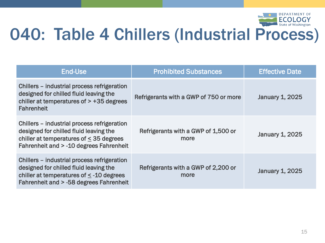

#### 040: Table 4 Chillers (Industrial Process)

| End-Use                                                                                                                                                                          | <b>Prohibited Substances</b>                | <b>Effective Date</b>  |
|----------------------------------------------------------------------------------------------------------------------------------------------------------------------------------|---------------------------------------------|------------------------|
| Chillers – industrial process refrigeration<br>designed for chilled fluid leaving the<br>chiller at temperatures of $> +35$ degrees<br><b>Fahrenheit</b>                         | Refrigerants with a GWP of 750 or more      | <b>January 1, 2025</b> |
| Chillers – industrial process refrigeration<br>designed for chilled fluid leaving the<br>chiller at temperatures of $\leq$ 35 degrees<br>Fahrenheit and > -10 degrees Fahrenheit | Refrigerants with a GWP of 1,500 or<br>more | <b>January 1, 2025</b> |
| Chillers – industrial process refrigeration<br>designed for chilled fluid leaving the<br>chiller at temperatures of < -10 degrees<br>Fahrenheit and > -58 degrees Fahrenheit     | Refrigerants with a GWP of 2,200 or<br>more | <b>January 1, 2025</b> |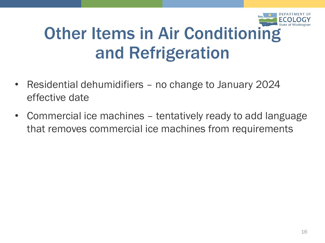

### Other Items in Air Conditioning and Refrigeration

- Residential dehumidifiers no change to January 2024 effective date
- Commercial ice machines tentatively ready to add language that removes commercial ice machines from requirements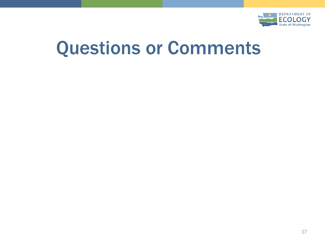

## Questions or Comments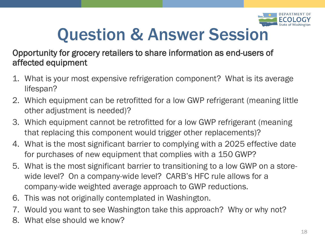

## Question & Answer Session

#### Opportunity for grocery retailers to share information as end-users of affected equipment

- 1. What is your most expensive refrigeration component? What is its average lifespan?
- 2. Which equipment can be retrofitted for a low GWP refrigerant (meaning little other adjustment is needed)?
- 3. Which equipment cannot be retrofitted for a low GWP refrigerant (meaning that replacing this component would trigger other replacements)?
- 4. What is the most significant barrier to complying with a 2025 effective date for purchases of new equipment that complies with a 150 GWP?
- 5. What is the most significant barrier to transitioning to a low GWP on a storewide level? On a company-wide level? CARB's HFC rule allows for a company-wide weighted average approach to GWP reductions.
- 6. This was not originally contemplated in Washington.
- 7. Would you want to see Washington take this approach? Why or why not?
- 8. What else should we know?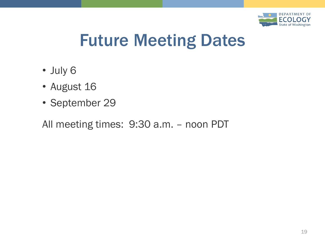

#### Future Meeting Dates

- July 6
- August 16
- September 29

All meeting times: 9:30 a.m. – noon PDT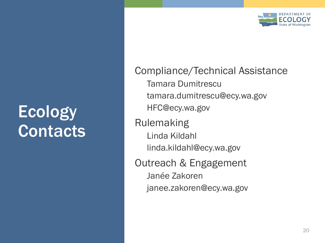

#### **Ecology Contacts**

Compliance/Technical Assistance Tamara Dumitrescu tamara.dumitrescu@ecy.wa.gov HFC@ecy.wa.gov Rulemaking Linda Kildahl linda.kildahl@ecy.wa.gov Outreach & Engagement Janée Zakoren janee.zakoren@ecy.wa.gov